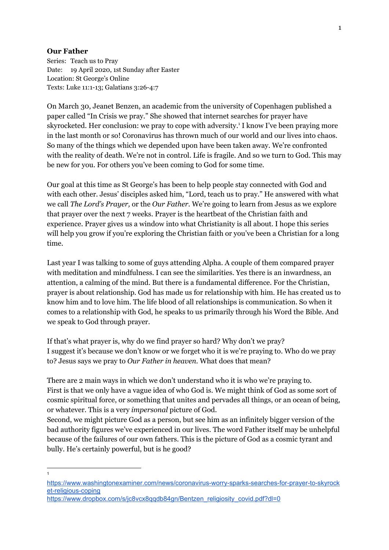## **Our Father**

Series: Teach us to Pray Date: 19 April 2020, 1st Sunday after Easter Location: St George's Online Texts: Luke 11:1-13; Galatians 3:26-4:7

On March 30, Jeanet Benzen, an academic from the university of Copenhagen published a paper called "In Crisis we pray." She showed that internet searches for prayer have skyrocketed. Her conclusion: we pray to cope with adversity.<sup>1</sup> I know I've been praying more in the last month or so! Coronavirus has thrown much of our world and our lives into chaos. So many of the things which we depended upon have been taken away. We're confronted with the reality of death. We're not in control. Life is fragile. And so we turn to God. This may be new for you. For others you've been coming to God for some time.

Our goal at this time as St George's has been to help people stay connected with God and with each other. Jesus' disciples asked him, "Lord, teach us to pray." He answered with what we call *The Lord's Prayer,* or the *Our Father.* We're going to learn from Jesus as we explore that prayer over the next 7 weeks. Prayer is the heartbeat of the Christian faith and experience. Prayer gives us a window into what Christianity is all about. I hope this series will help you grow if you're exploring the Christian faith or you've been a Christian for a long time.

Last year I was talking to some of guys attending Alpha. A couple of them compared prayer with meditation and mindfulness. I can see the similarities. Yes there is an inwardness, an attention, a calming of the mind. But there is a fundamental difference. For the Christian, prayer is about relationship. God has made us for relationship with him. He has created us to know him and to love him. The life blood of all relationships is communication. So when it comes to a relationship with God, he speaks to us primarily through his Word the Bible. And we speak to God through prayer.

If that's what prayer is, why do we find prayer so hard? Why don't we pray? I suggest it's because we don't know or we forget who it is we're praying to. Who do we pray to? Jesus says we pray to *Our Father in heaven.* What does that mean?

There are 2 main ways in which we don't understand who it is who we're praying to. First is that we only have a vague idea of who God is. We might think of God as some sort of cosmic spiritual force, or something that unites and pervades all things, or an ocean of being, or whatever. This is a very *impersonal* picture of God.

Second, we might picture God as a person, but see him as an infinitely bigger version of the bad authority figures we've experienced in our lives. The word Father itself may be unhelpful because of the failures of our own fathers. This is the picture of God as a cosmic tyrant and bully. He's certainly powerful, but is he good?

<sup>1</sup>

[https://www.washingtonexaminer.com/news/coronavirus-worry-sparks-searches-for-prayer-to-skyrock](https://www.washingtonexaminer.com/news/coronavirus-worry-sparks-searches-for-prayer-to-skyrocket-religious-coping) [et-religious-coping](https://www.washingtonexaminer.com/news/coronavirus-worry-sparks-searches-for-prayer-to-skyrocket-religious-coping)

[https://www.dropbox.com/s/jc8vcx8qqdb84gn/Bentzen\\_religiosity\\_covid.pdf?dl=0](https://www.dropbox.com/s/jc8vcx8qqdb84gn/Bentzen_religiosity_covid.pdf?dl=0)